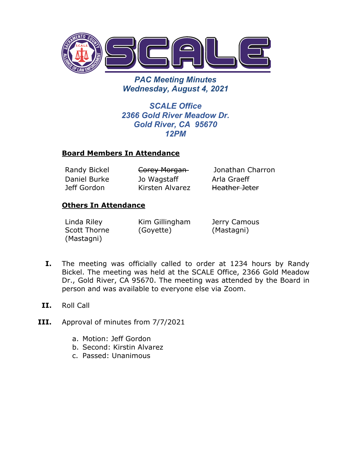

*PAC Meeting Minutes Wednesday, August 4, 2021*

*SCALE Office 2366 Gold River Meadow Dr. Gold River, CA 95670 12PM*

## **Board Members In Attendance**

Daniel Burke Jeff Gordon

Jo Wagstaff Kirsten Alvarez

Randy Bickel **Corey Morgan** Jonathan Charron Arla Graeff Heather Jeter

## **Others In Attendance**

Linda Riley Scott Thorne (Mastagni)

Kim Gillingham (Goyette)

Jerry Camous (Mastagni)

- **I.** The meeting was officially called to order at 1234 hours by Randy Bickel. The meeting was held at the SCALE Office, 2366 Gold Meadow Dr., Gold River, CA 95670. The meeting was attended by the Board in person and was available to everyone else via Zoom.
- **II.** Roll Call
- **III.** Approval of minutes from 7/7/2021
	- a. Motion: Jeff Gordon
	- b. Second: Kirstin Alvarez
	- c. Passed: Unanimous